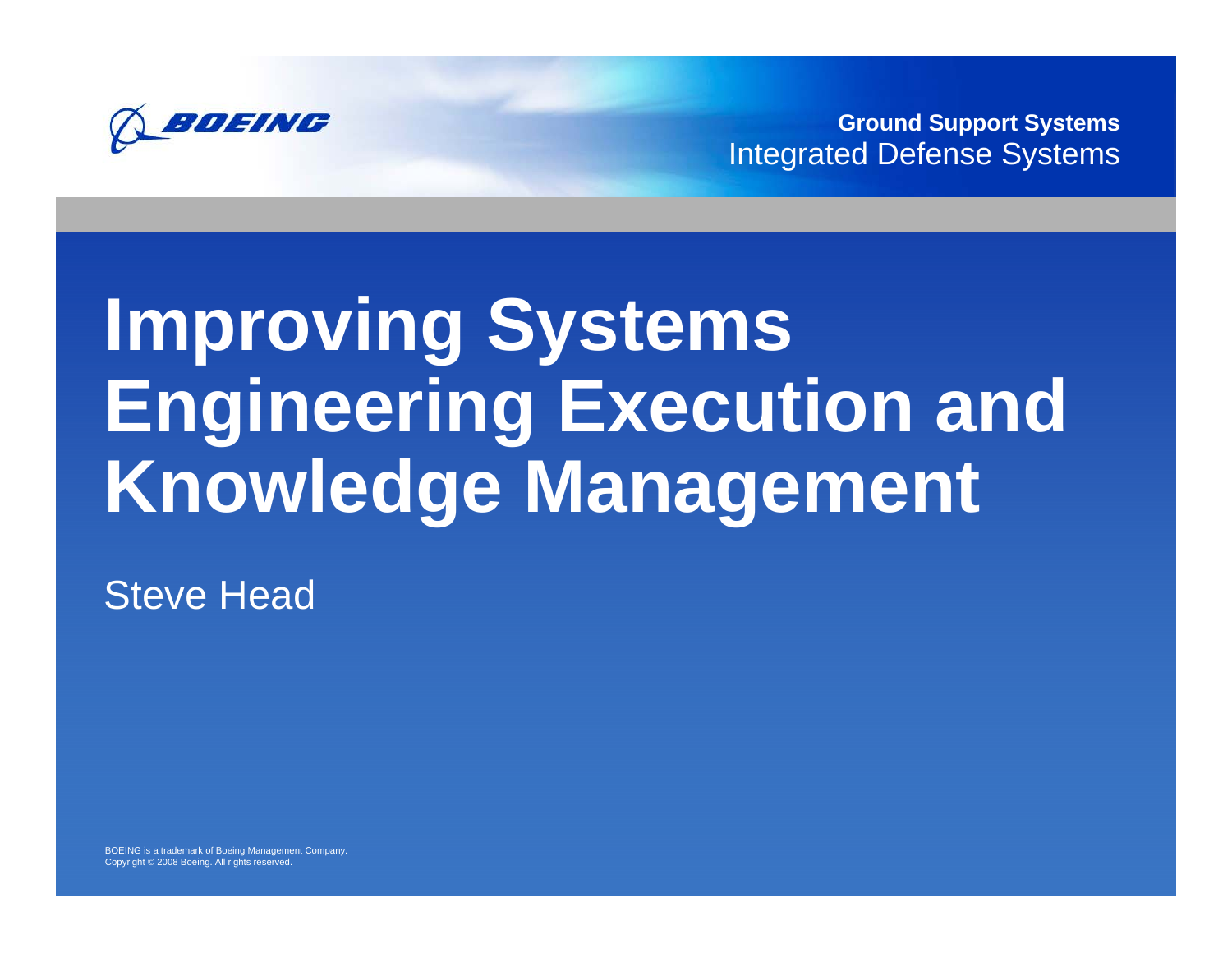

**Ground Support Systems** Integrated Defense Systems

# **Improving Systems Engineering Execution and Knowledge Management**

**Steve Head** 

BOEING is a trademark of Boeing Management Company. Copyright © 2008 Boeing. All rights reserved.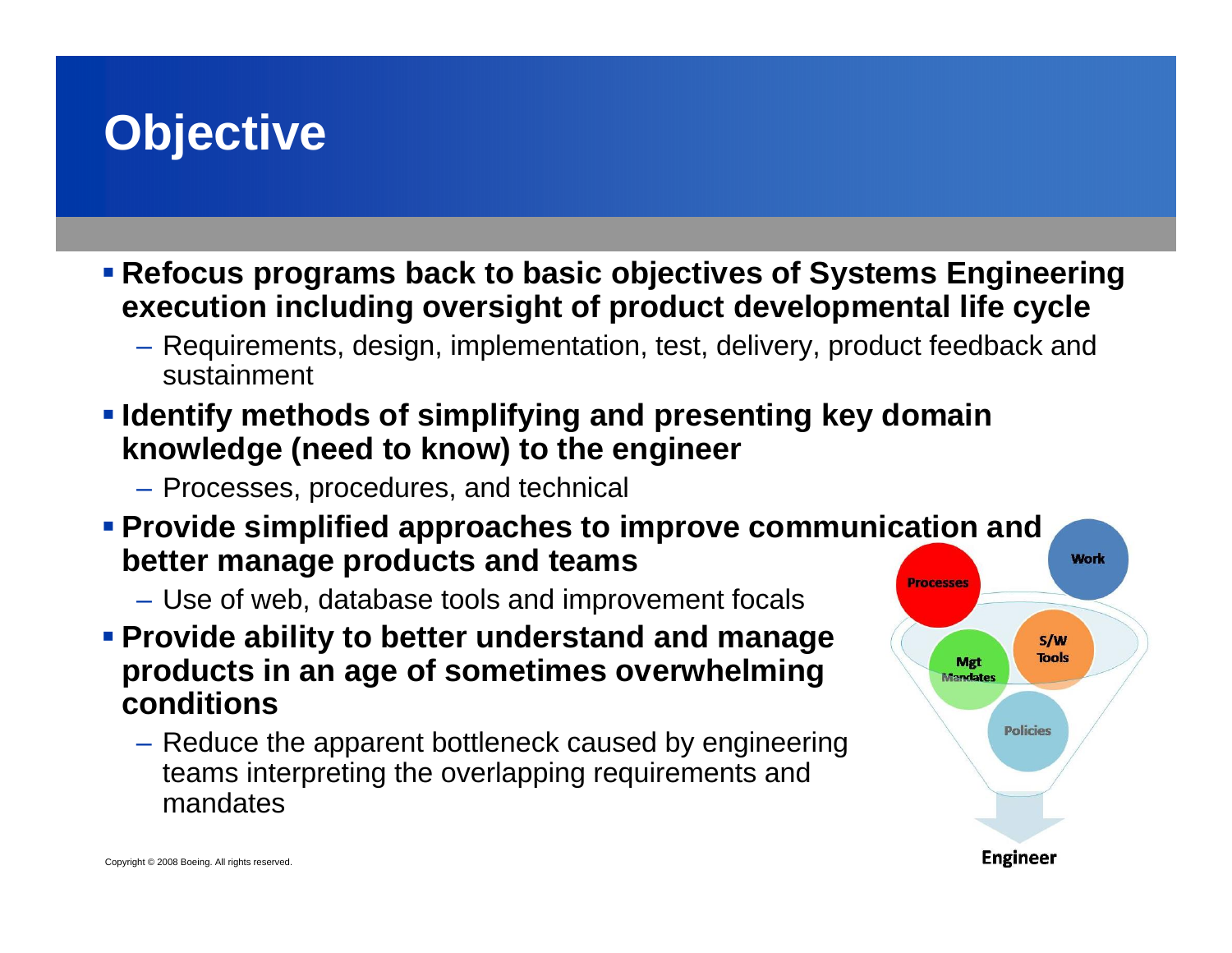### **Objective**

 **Refocus programs back to basic objectives of Systems Engineering execution including oversight of product developmental life cycle**

- Requirements, design, implementation, test, delivery, product feedback and sustainment
- **Identify methods of simplifying and presenting key domain knowledge (need to know) to the engineer**

– Processes, procedures, and technical

- **Provide simplified approaches to improve communication and better manage products and teams**
	- Use of web, database tools and improvement focals
- **Provide ability to better understand and manage products in an age of sometimes overwhelming conditions**
	- Reduce the apparent bottleneck caused by engineering teams interpreting the overlapping requirements and mandates

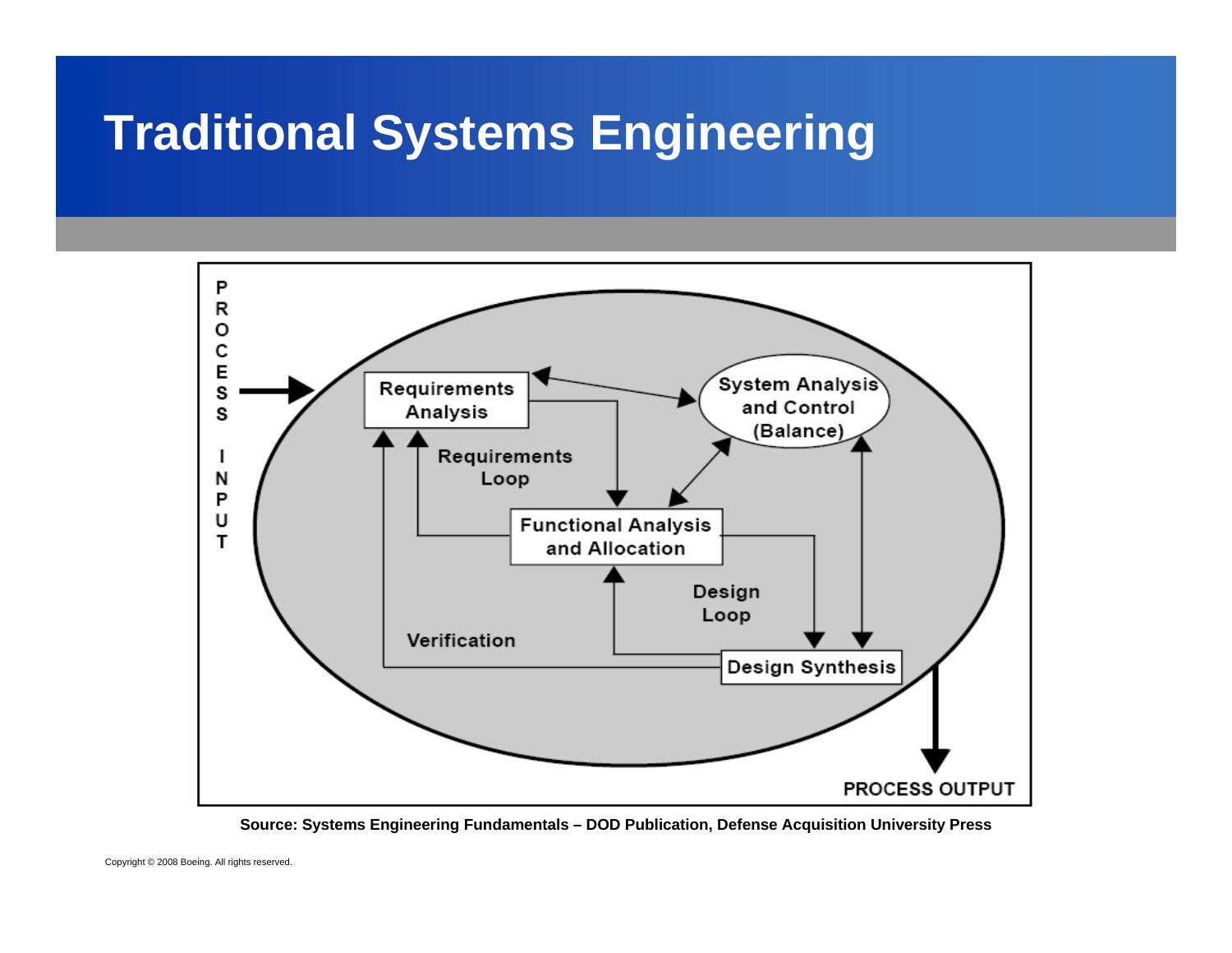### **Traditional Systems Engineering**



**Source: Systems Engineering Fundamentals – DOD Publication, Defense Acquisition University Press**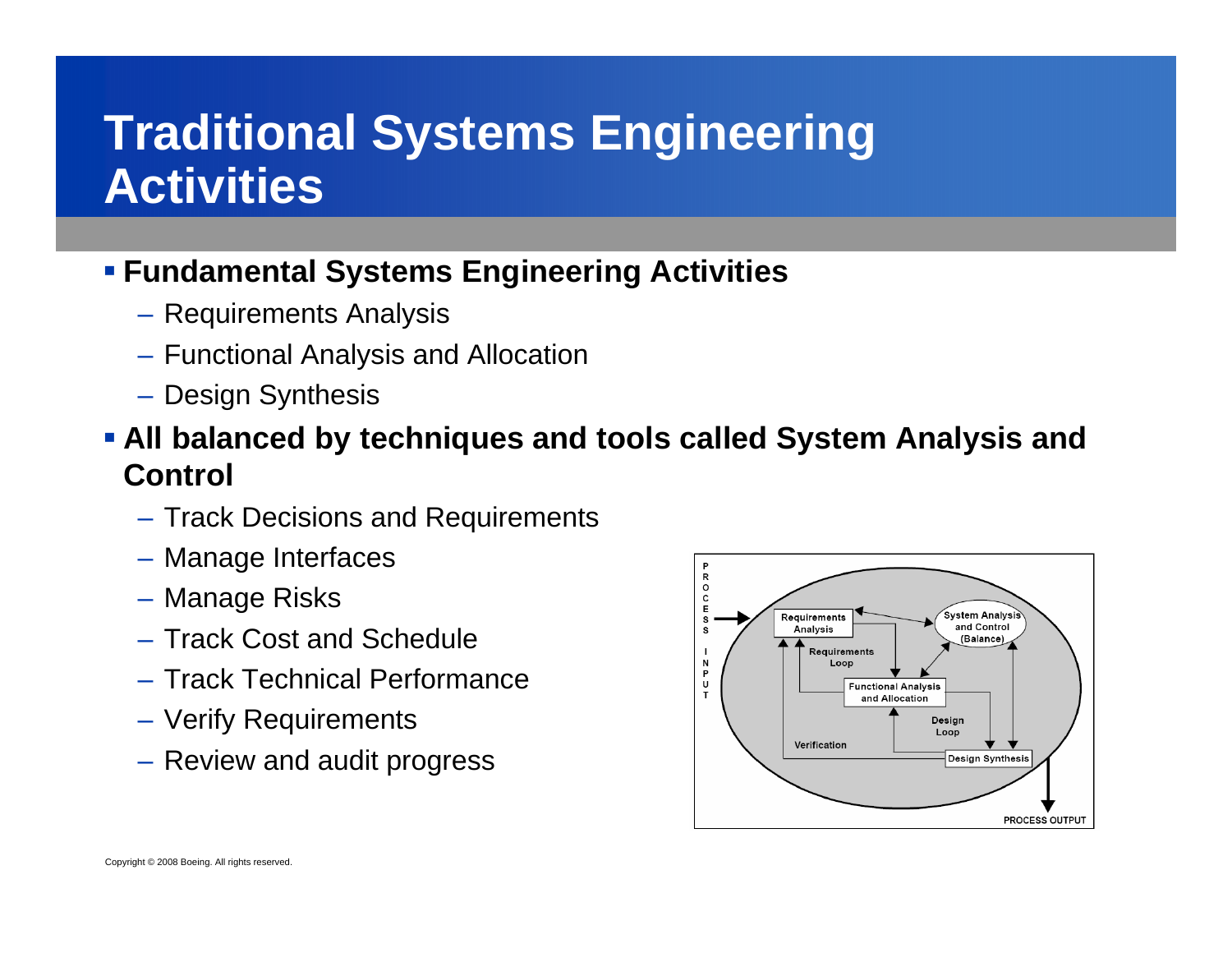#### **Traditional Systems Engineering Activities**

#### **Fundamental Systems Engineering Activities**

- Requirements Analysis
- Functional Analysis and Allocation
- Design Synthesis
- **All balanced by techniques and tools called System Analysis and Control**
	- Track Decisions and Requirements
	- Manage Interfaces
	- Manage Risks
	- Track Cost and Schedule
	- Track Technical Performance
	- Verify Requirements
	- Review and audit progress

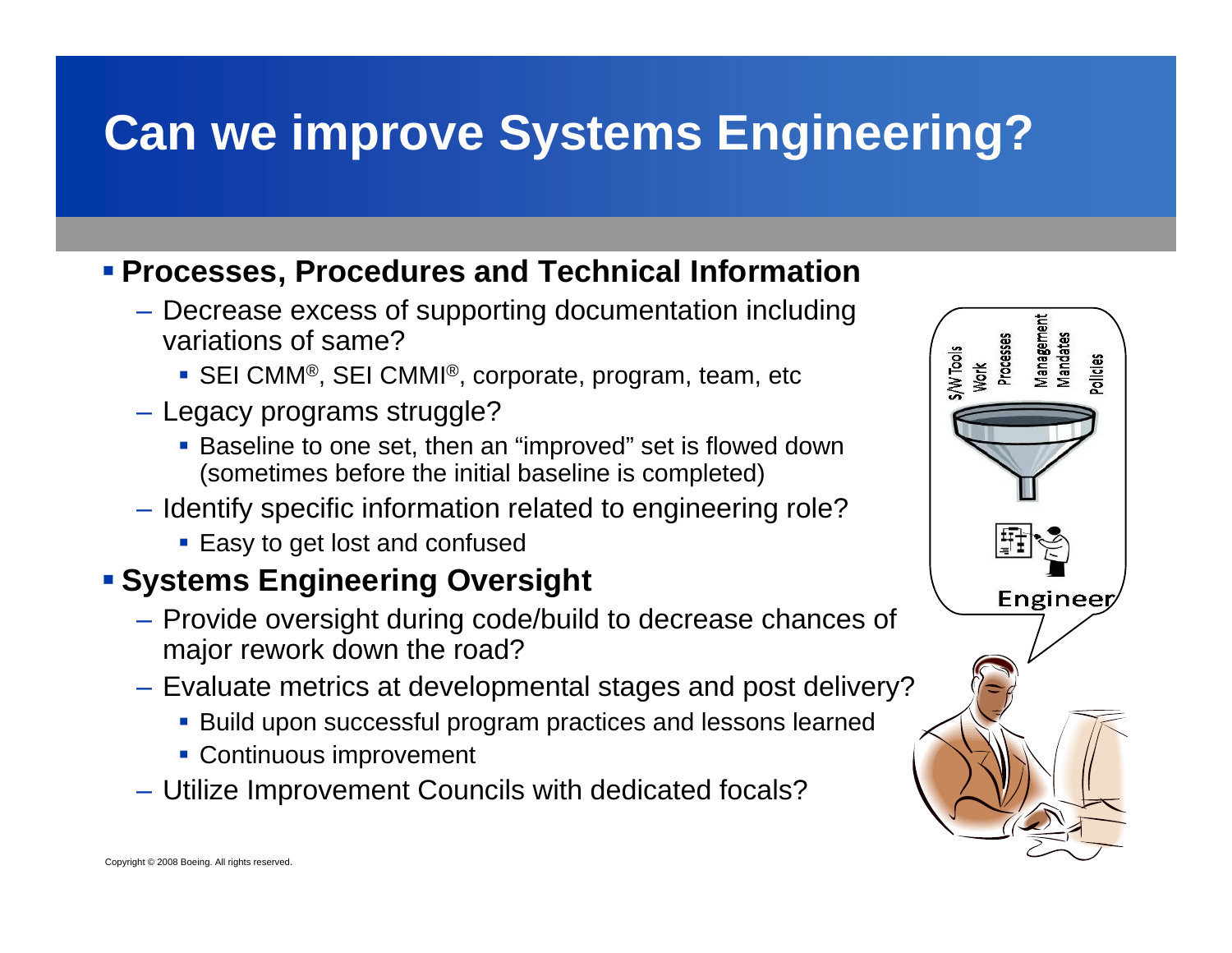# **Can we improve Systems Engineering?**

#### **Processes, Procedures and Technical Information**

- Decrease excess of supporting documentation including variations of same?
	- SEI CMM®, SEI CMMI®, corporate, program, team, etc
- Legacy programs struggle?
	- **Baseline to one set, then an "improved" set is flowed down** (sometimes before the initial baseline is completed)
- Identify specific information related to engineering role?
	- Easy to get lost and confused

#### **Systems Engineering Oversight**

- Provide oversight during code/build to decrease chances of major rework down the road?
- Evaluate metrics at developmental stages and post delivery?
	- Build upon successful program practices and lessons learned
	- **Continuous improvement**
- Utilize Improvement Councils with dedicated focals?

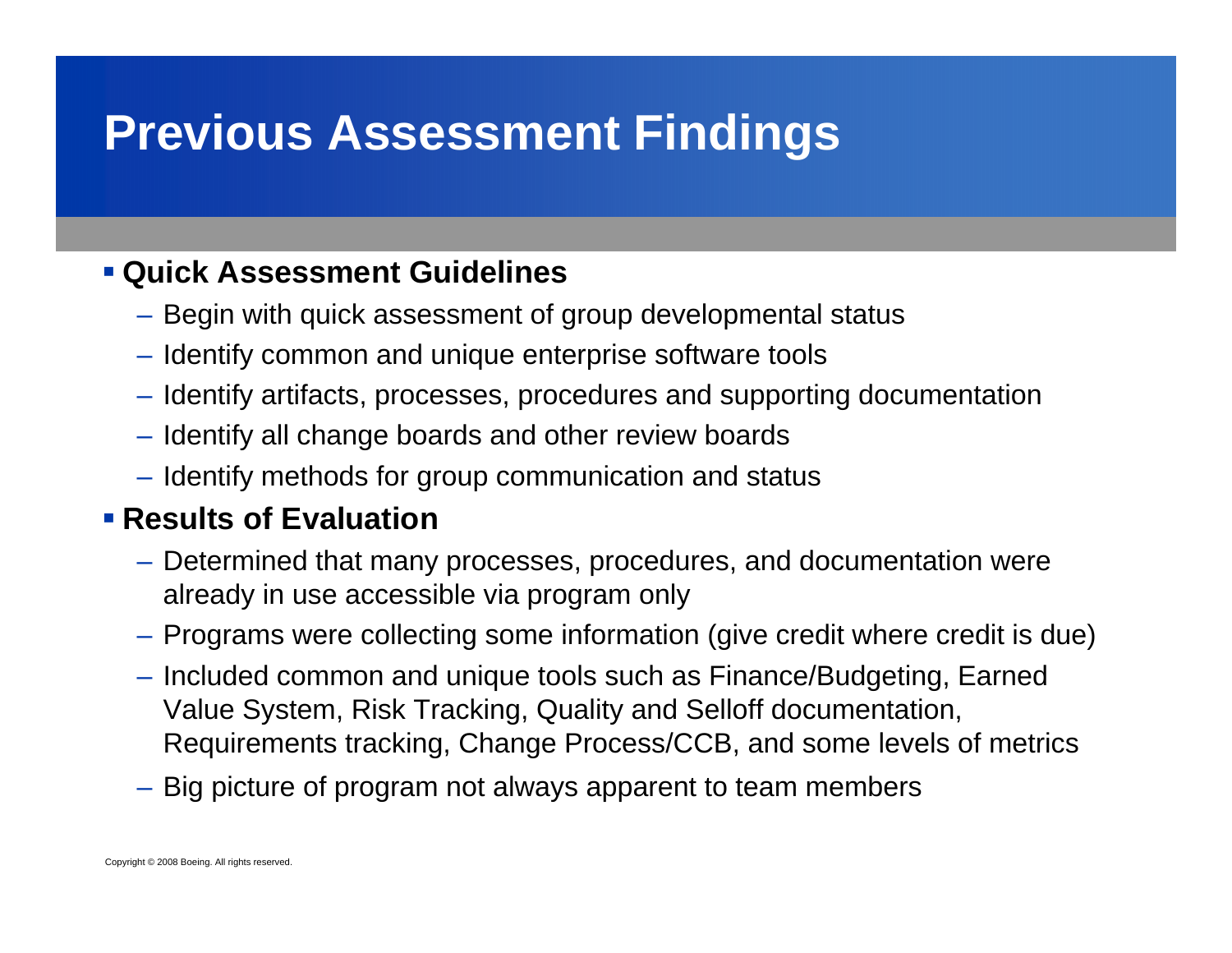## **Previous Assessment Findings**

#### **Quick Assessment Guidelines**

- Begin with quick assessment of group developmental status
- Identify common and unique enterprise software tools
- Identify artifacts, processes, procedures and supporting documentation
- Identify all change boards and other review boards
- Identify methods for group communication and status

#### **Results of Evaluation**

- Determined that many processes, procedures, and documentation were already in use accessible via program only
- Programs were collecting some information (give credit where credit is due)
- Included common and unique tools such as Finance/Budgeting, Earned Value System, Risk Tracking, Quality and Selloff documentation, Requirements tracking, Change Process/CCB, and some levels of metrics
- Big picture of program not always apparent to team members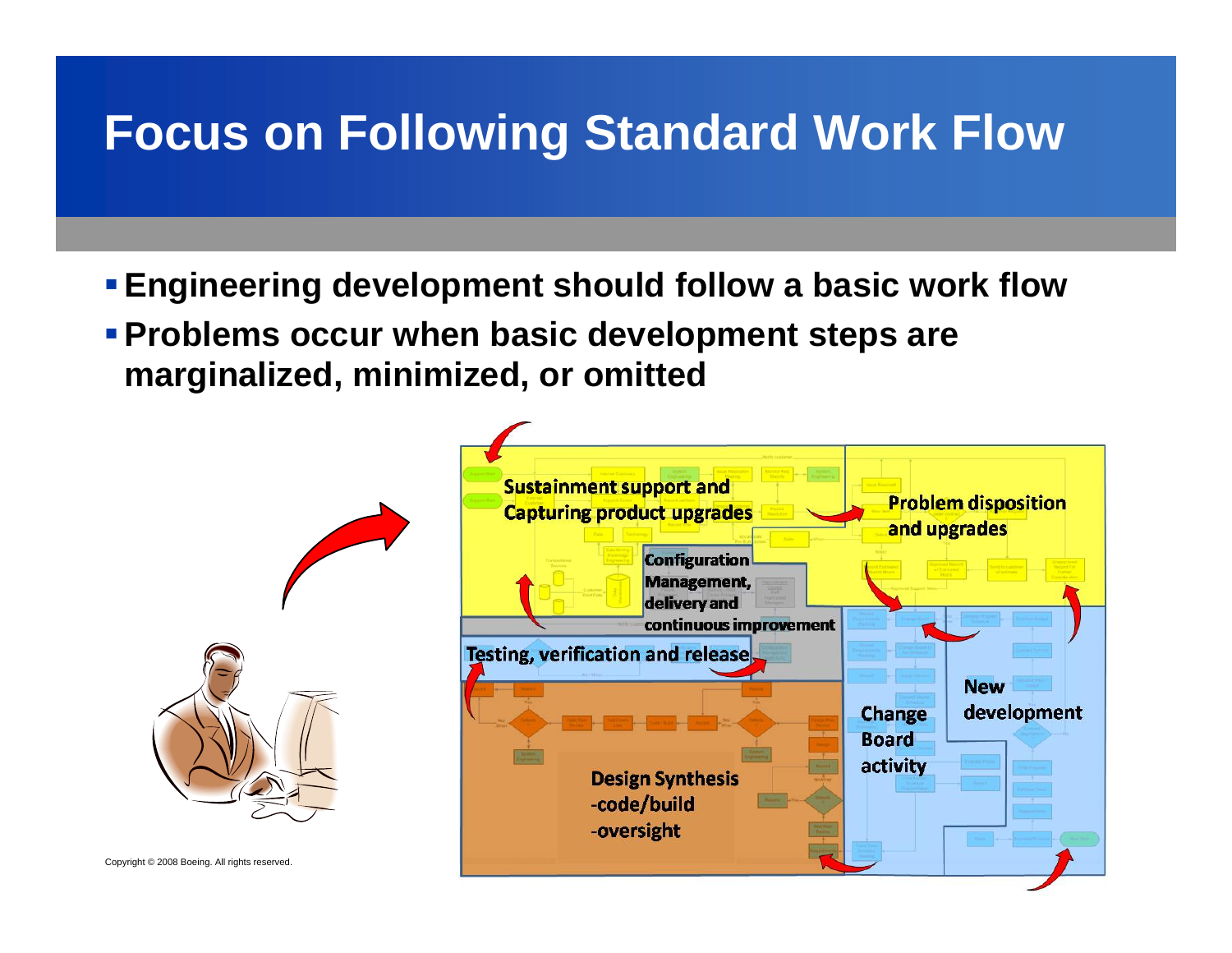### **Focus on Following Standard Work Flow**

- **Engineering development should follow a basic work flow**
- **Problems occur when basic development steps are marginalized, minimized, or omitted**

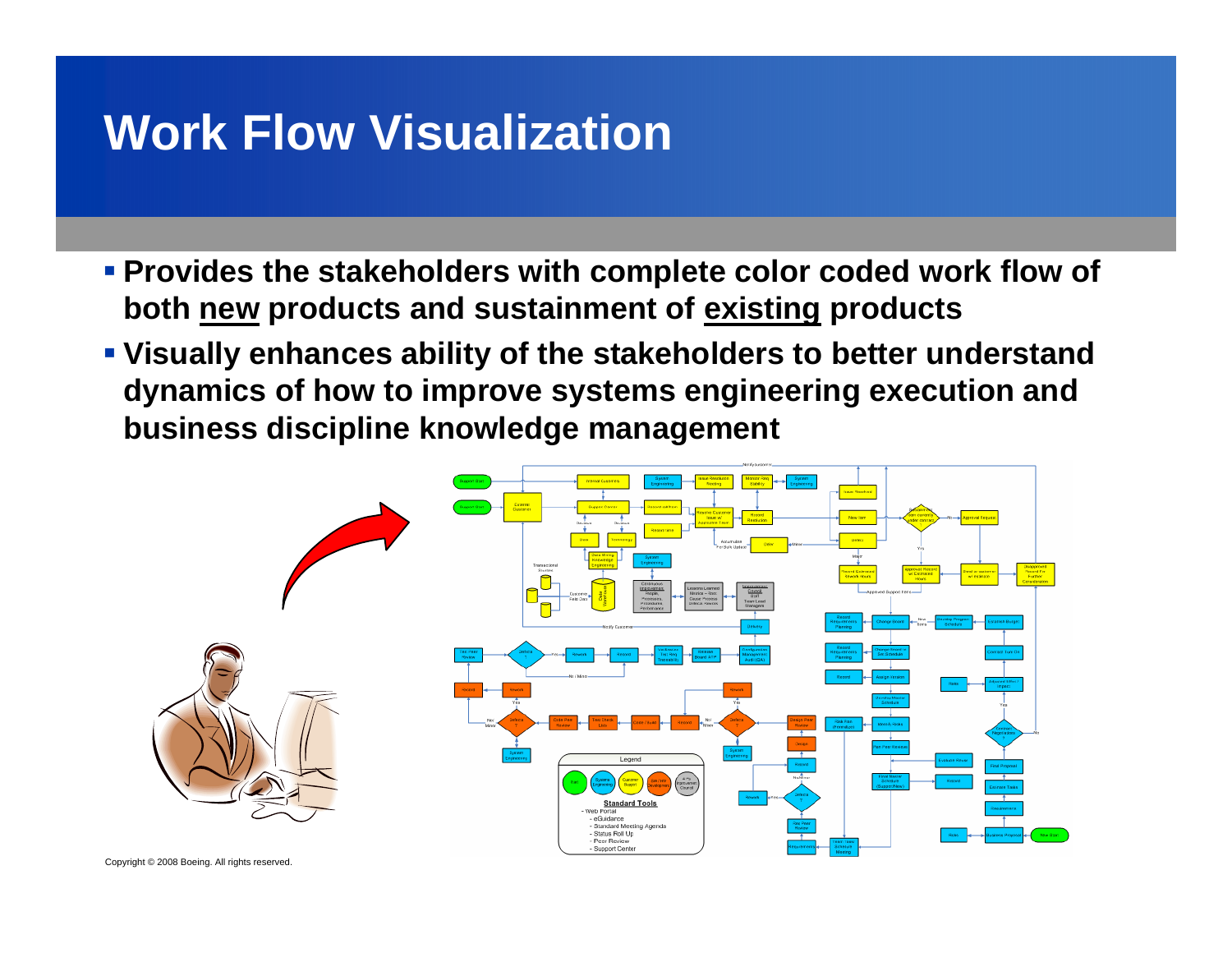### **Work Flow Visualization**

- **Provides the stakeholders with complete color coded work flow of both new products and sustainment of existing products**
- **Visually enhances ability of the stakeholders to better understand dynamics of how to improve systems engineering execution and business discipline knowledge management**

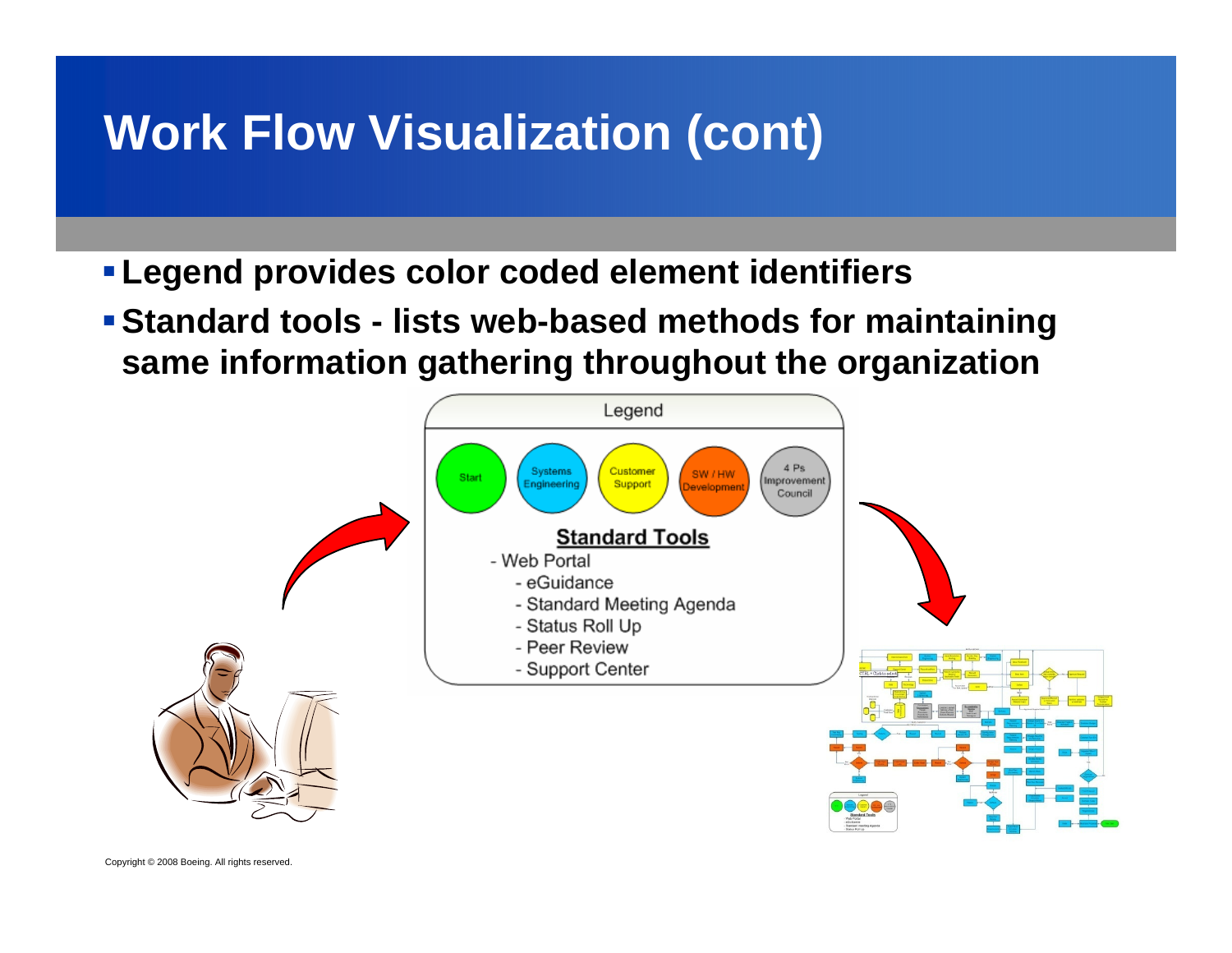- **Legend provides color coded element identifiers**
- **Standard tools - lists web-based methods for maintaining same information gathering throughout the organization**

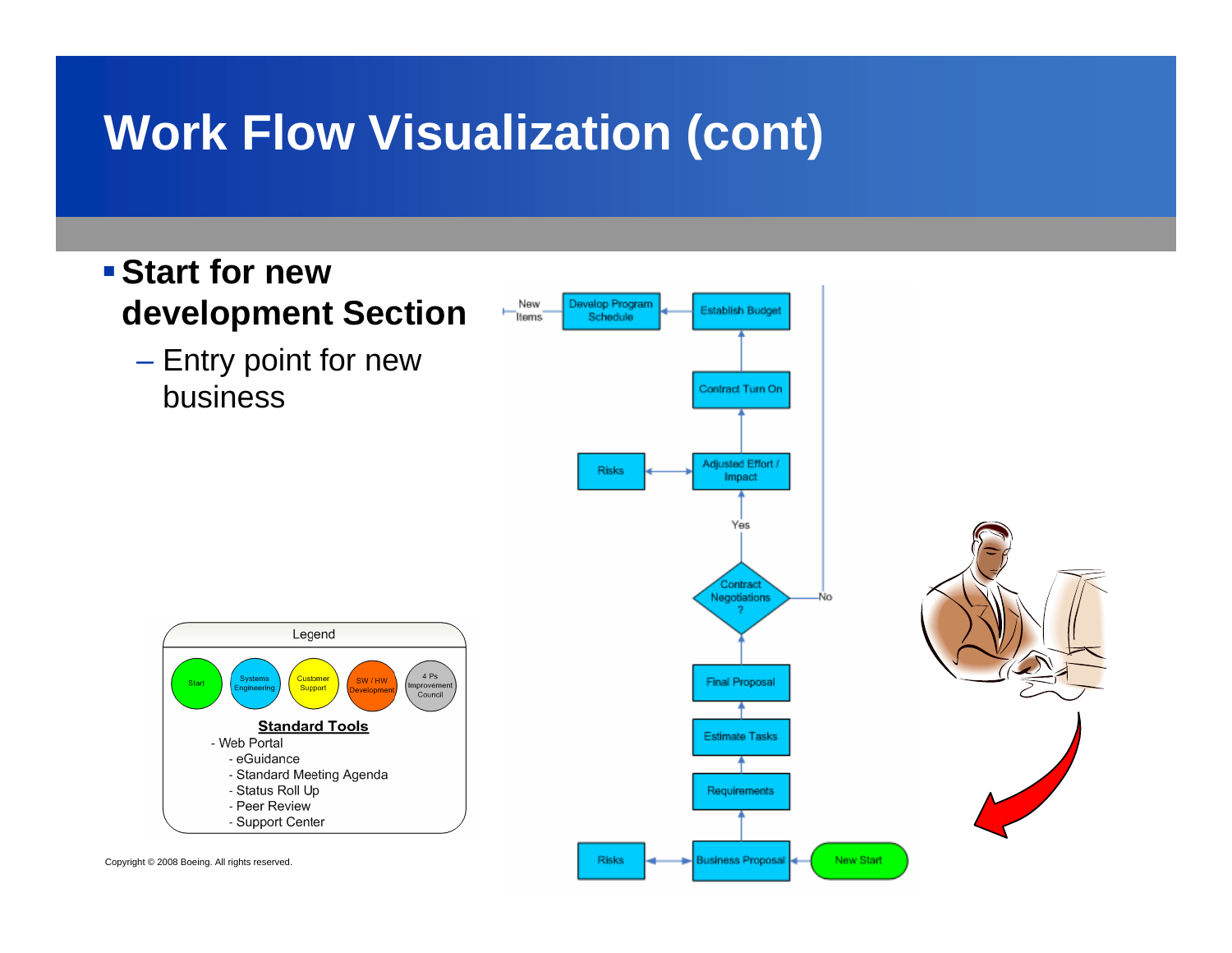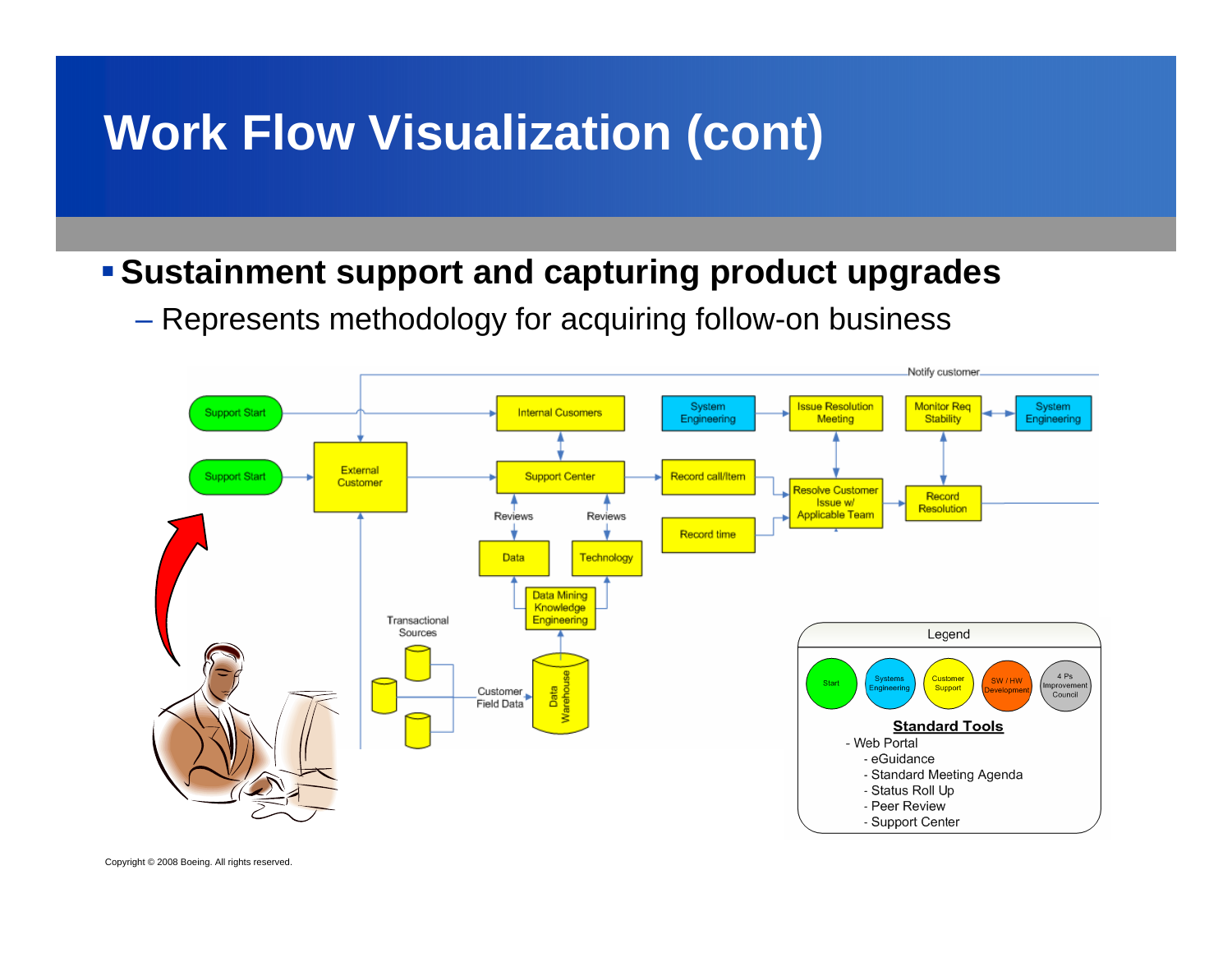#### **Sustainment support and capturing product upgrades**

 $\mathcal{L}_{\mathcal{A}}$  , and the set of the set of the set of the set of the set of the set of the set of the set of the set of the set of the set of the set of the set of the set of the set of the set of the set of the set of th Represents methodology for acquiring follow-on business

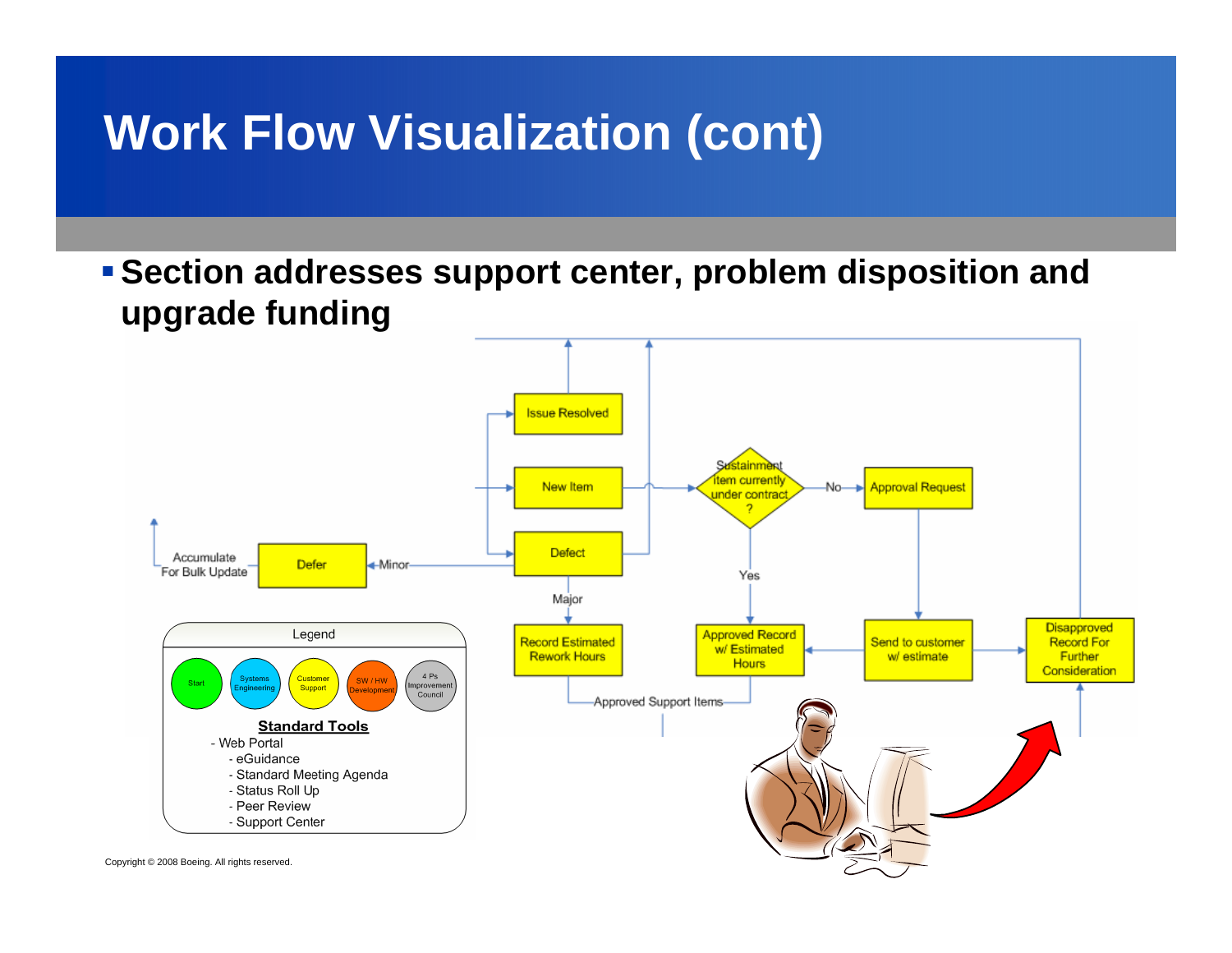**Section addresses support center, problem disposition and upgrade funding**

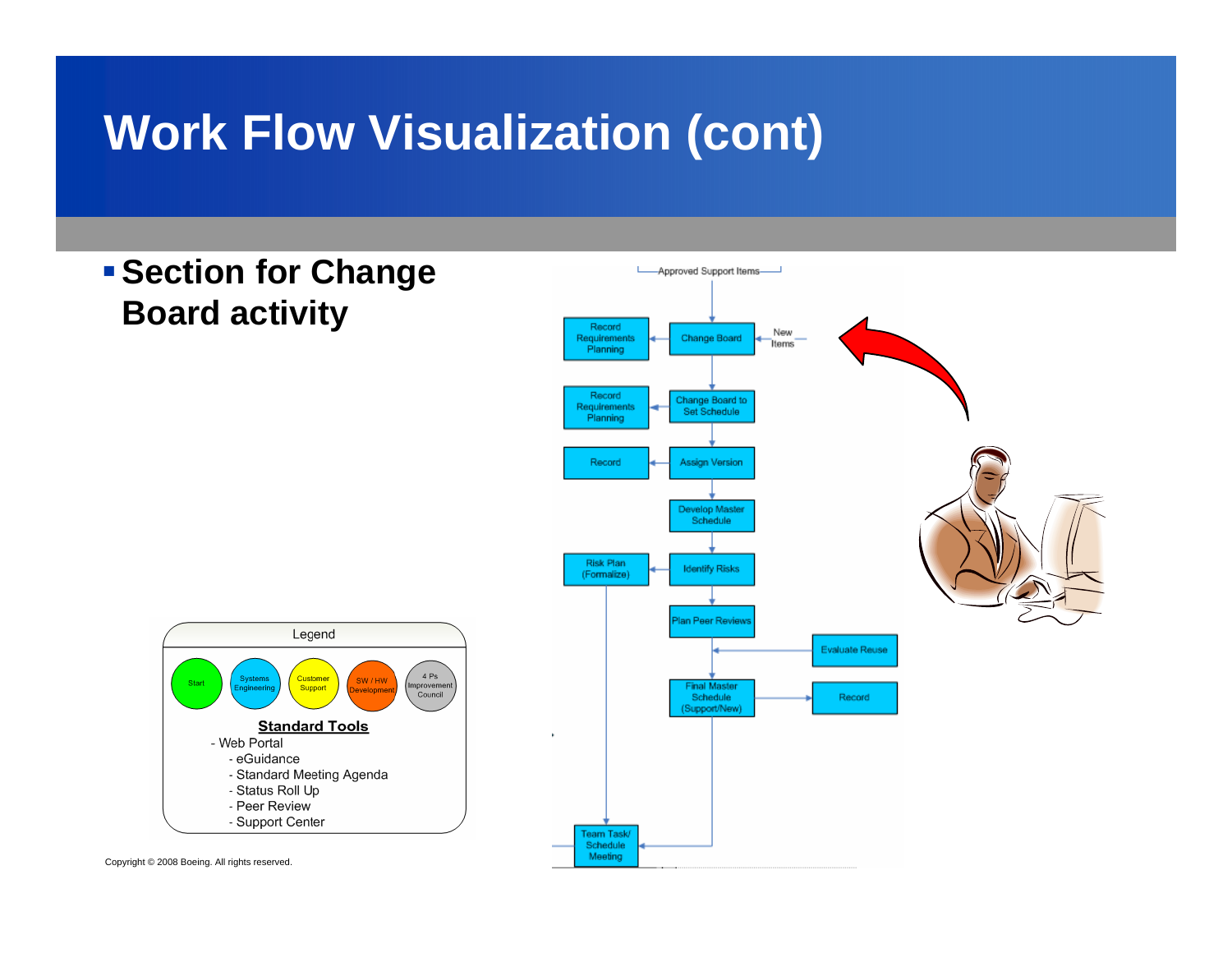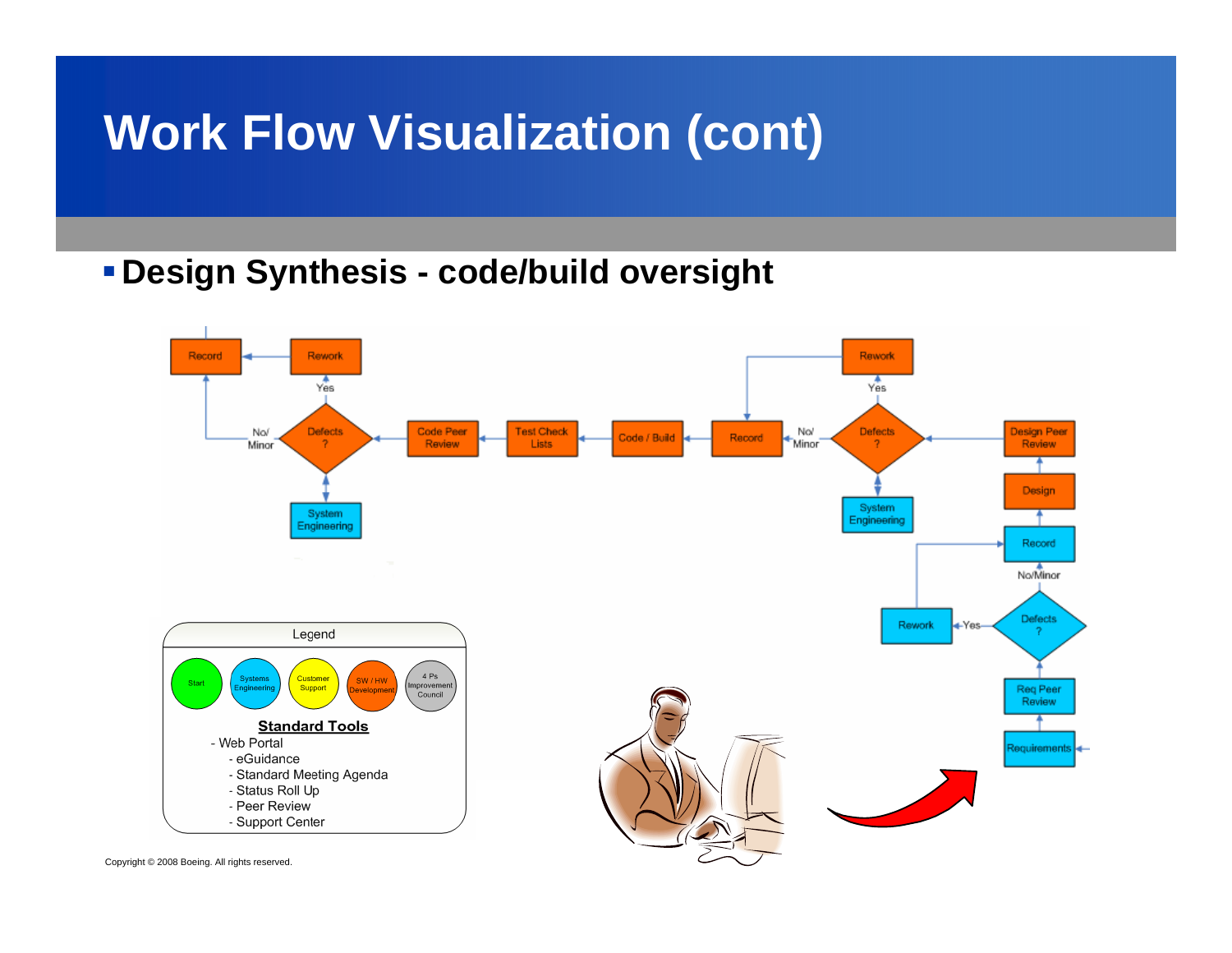#### **Design Synthesis - code/build oversight**

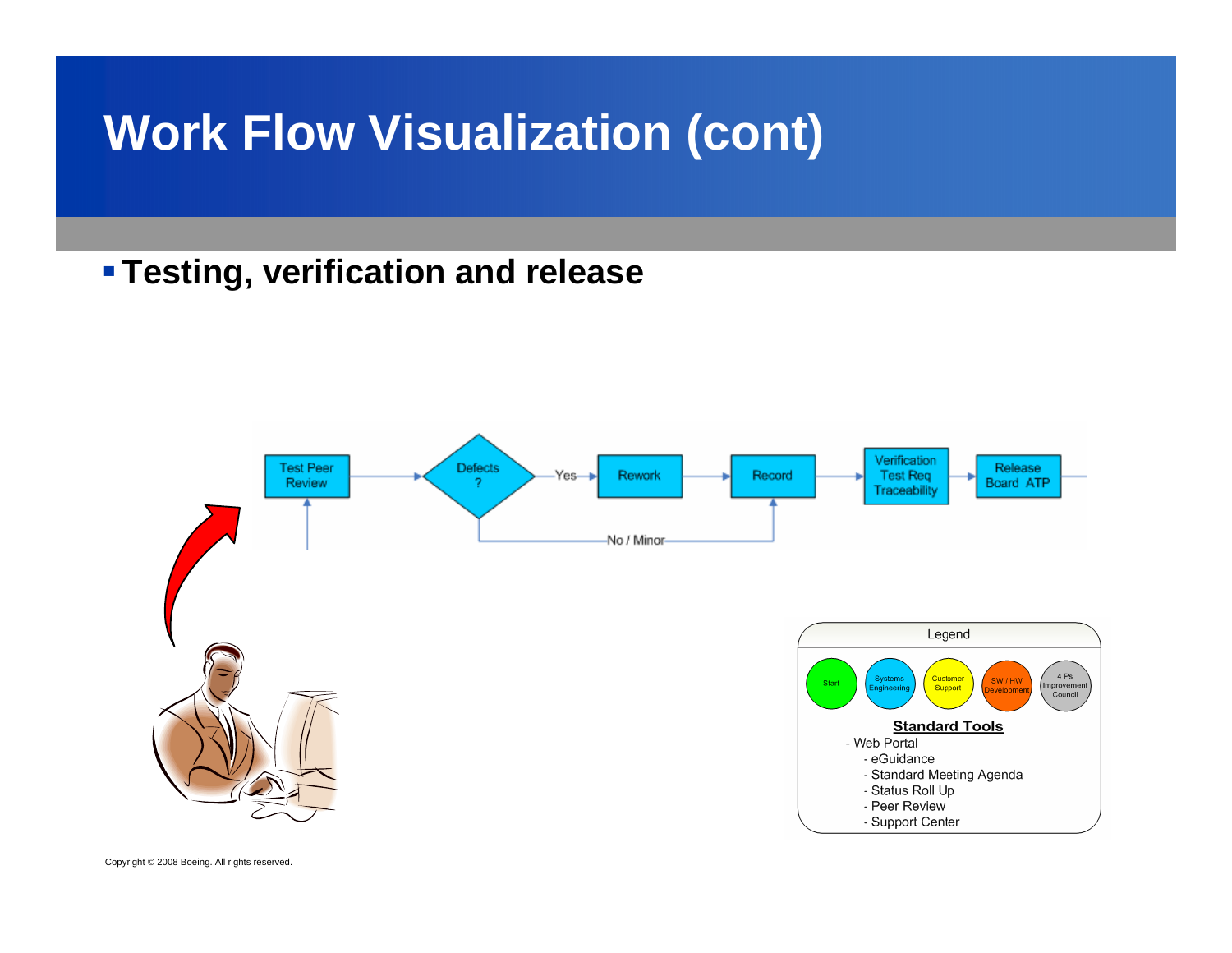#### **Testing, verification and release**

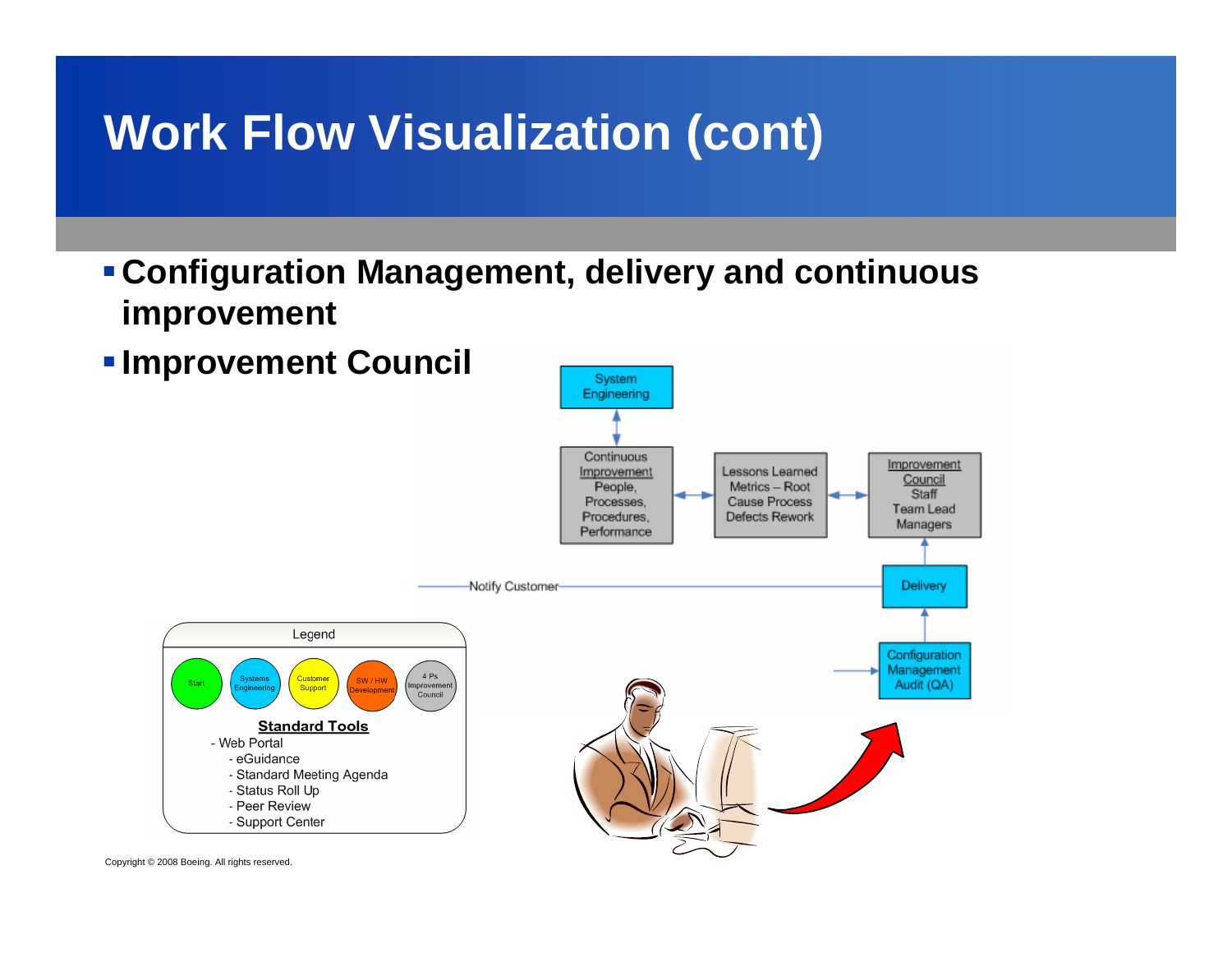**Configuration Management, delivery and continuous improvement**

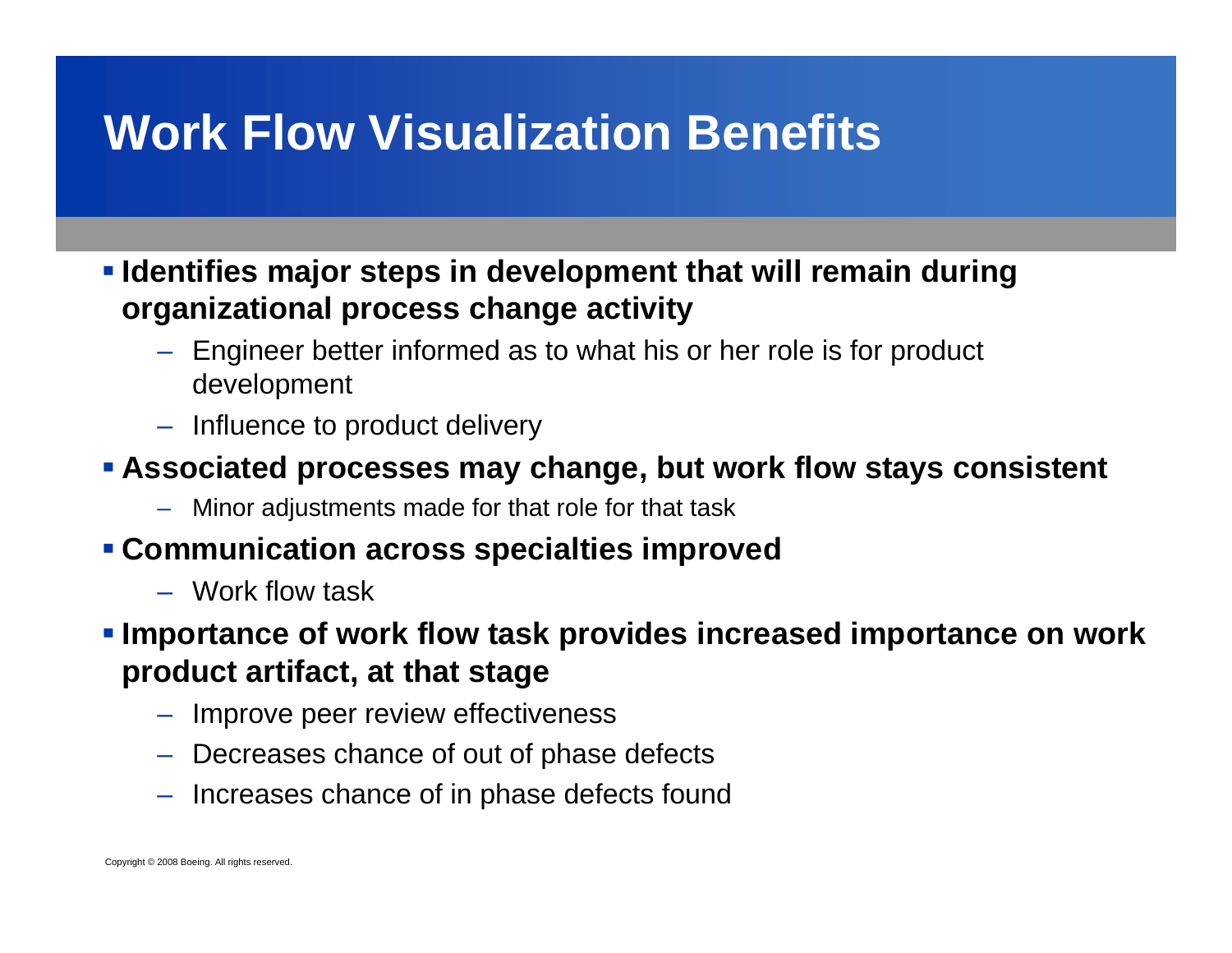### **Work Flow Visualization Benefits**

 **Identifies major steps in development that will remain during organizational process change activity**

- Engineer better informed as to what his or her role is for product development
- Influence to product delivery

#### **Associated processes may change, but work flow stays consistent**

– Minor adjustments made for that role for that task

#### **Communication across specialties improved**

– Work flow task

#### **Importance of work flow task provides increased importance on work product artifact, at that stage**

- Improve peer review effectiveness
- Decreases chance of out of phase defects
- Increases chance of in phase defects found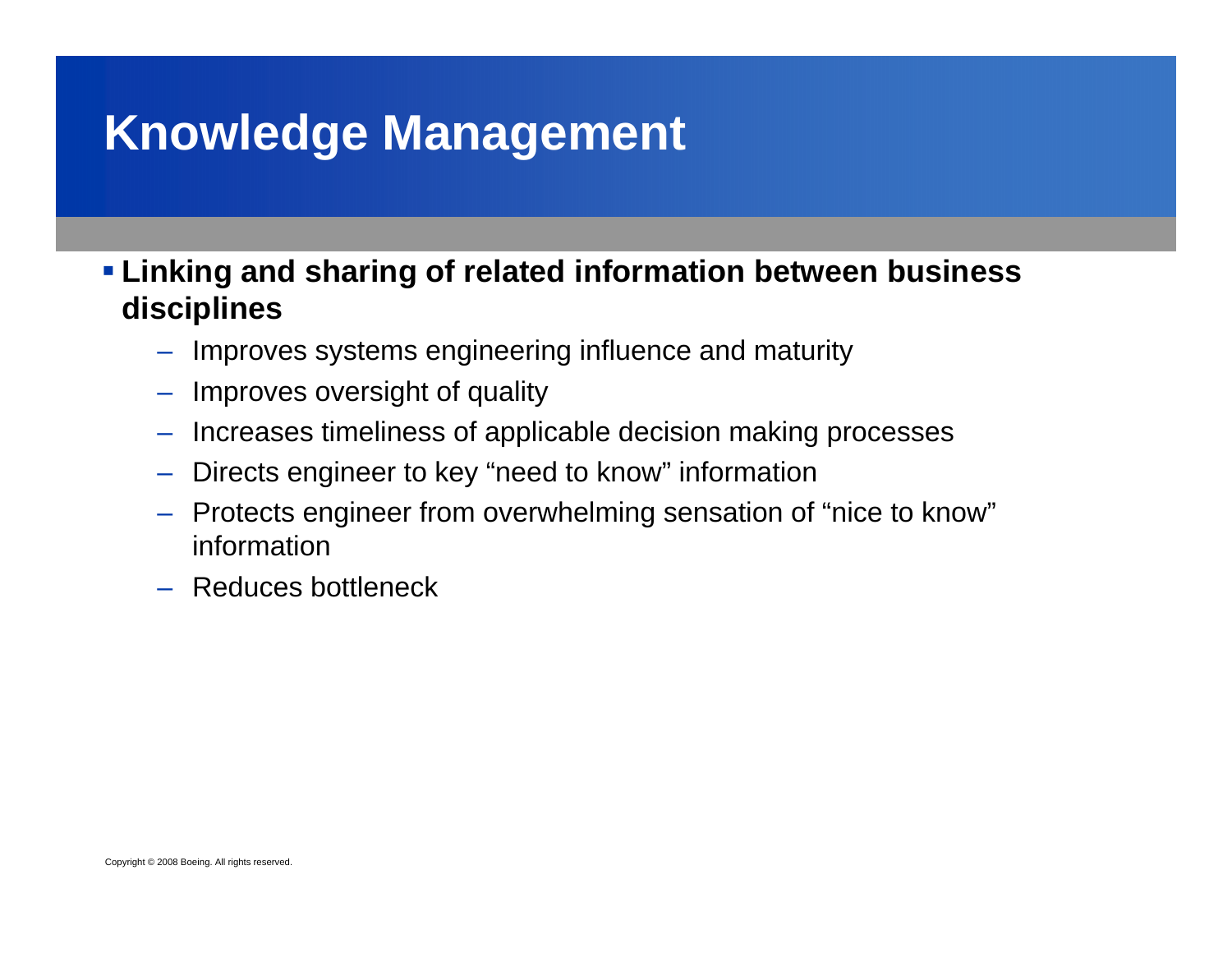### **Knowledge Management**

 **Linking and sharing of related information between business disciplines**

- Improves systems engineering influence and maturity
- Improves oversight of quality
- Increases timeliness of applicable decision making processes
- Directs engineer to key "need to know" information
- Protects engineer from overwhelming sensation of "nice to know" information
- Reduces bottleneck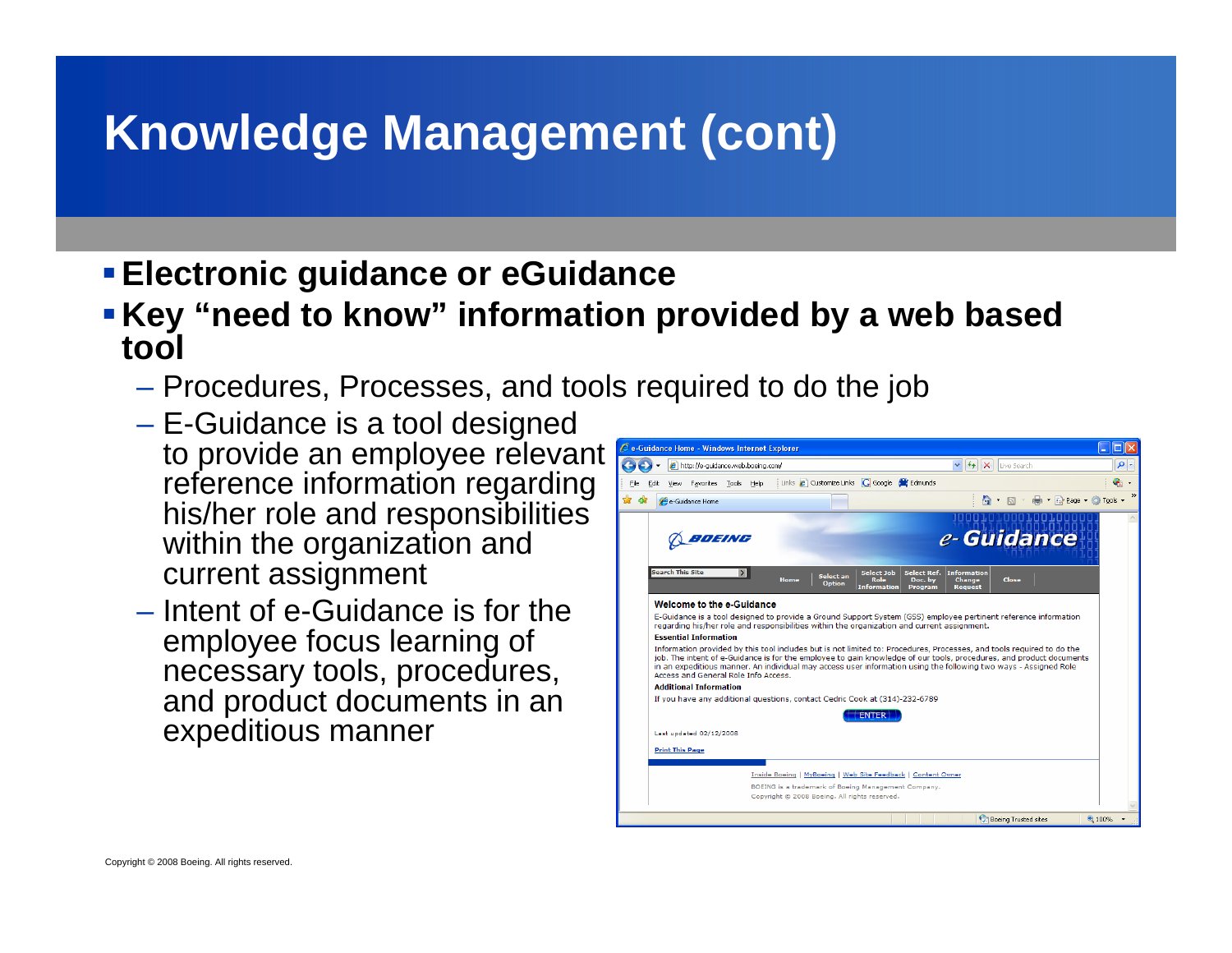# **Knowledge Management (cont)**

- **Electronic guidance or eGuidance**
- **Key "need to know" information provided by a web based tool**
	- Procedures, Processes, and tools required to do the job
	- – E-Guidance is a tool designed to provide an employee relevant reference information regarding his/her role and responsibilities within the organization and current assignment
	- Intent of e-Guidance is for the employee focus learning of necessary tools, procedures, and product documents in an expeditious manner

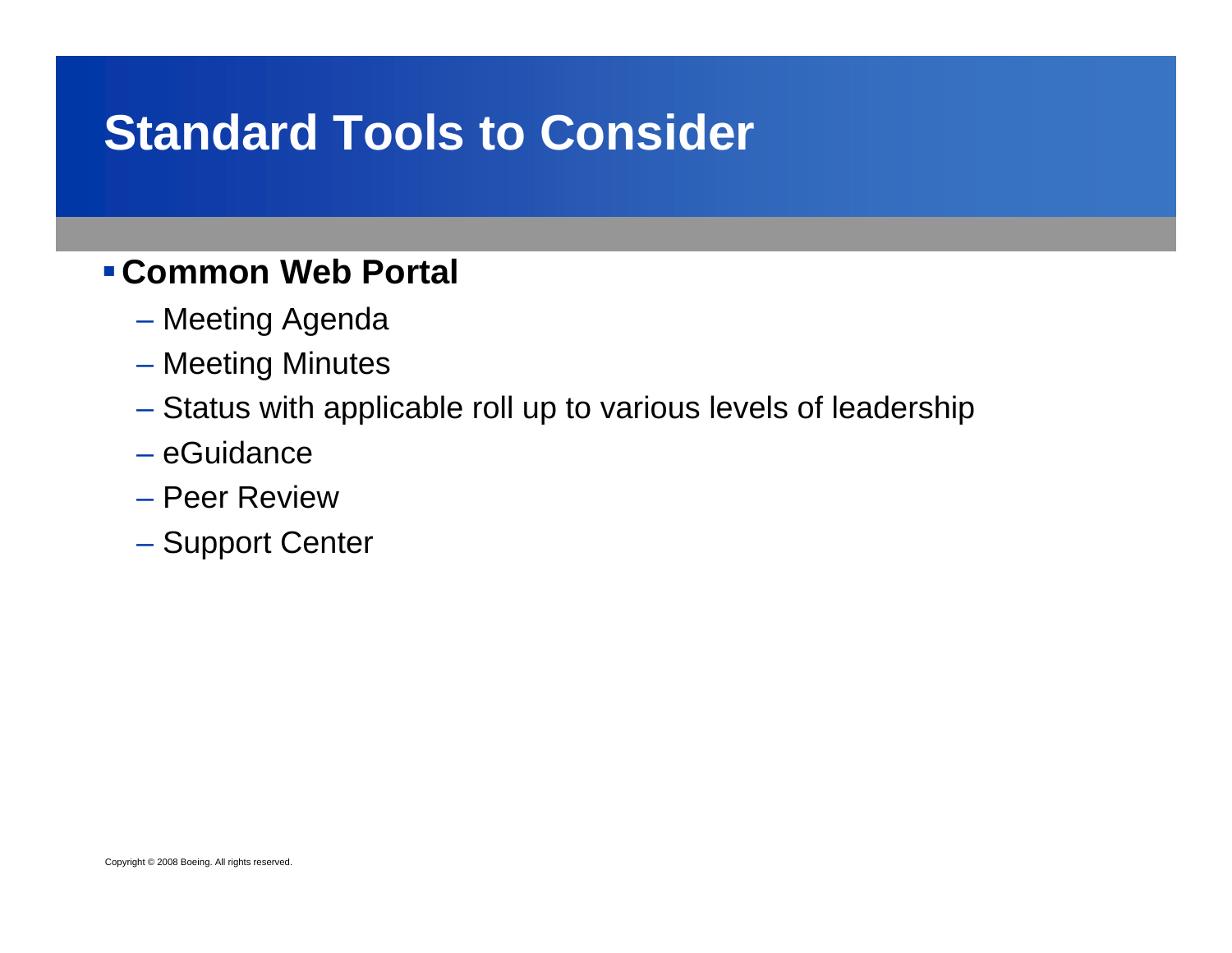### **Standard Tools to Consider**

#### **Common Web Portal**

- Meeting Agenda
- Meeting Minutes
- Status with applicable roll up to various levels of leadership
- eGuidance
- Peer Review
- Support Center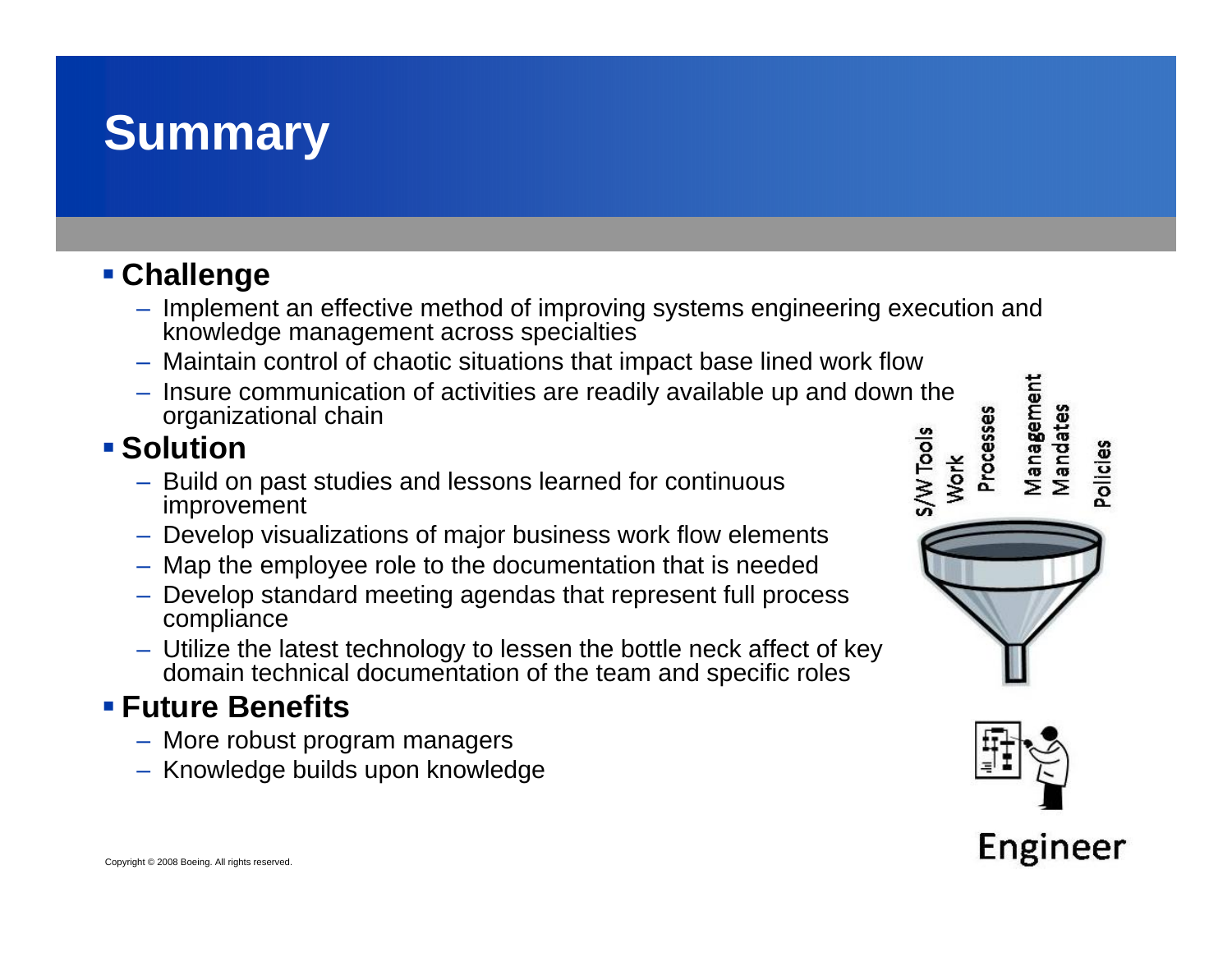#### **Summary**

#### **Challenge**

- Implement an effective method of improving systems engineering execution and knowledge management across specialties
- Maintain control of chaotic situations that impact base lined work flow
- Insure communication of activities are readily available up and down the organizational chain s/W Tools

#### **Solution**

- Build on past studies and lessons learned for continuous improvement
- Develop visualizations of major business work flow elements
- Map the employee role to the documentation that is needed
- Develop standard meeting agendas that represent full process compliance
- Utilize the latest technology to lessen the bottle neck affect of key domain technical documentation of the team and specific roles

#### **Future Benefits**

- More robust program managers
- Knowledge builds upon knowledge



Vlanagement

Processes

Work

Mandates

Pollcles